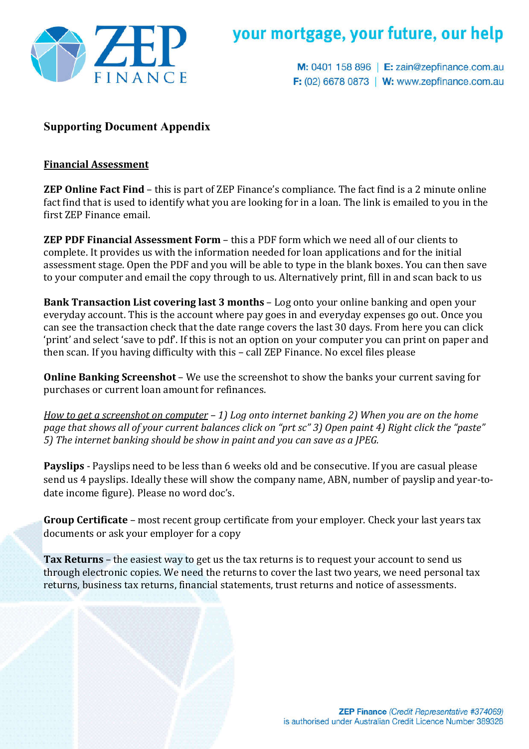

# your mortgage, your future, our help

M: 0401 158 896 | E: zain@zepfinance.com.au **F:** (02) 6678 0873 | **W:** www.zepfinance.com.au

### **Supporting Document Appendix**

#### **Financial Assessment**

**ZEP Online Fact Find** – this is part of ZEP Finance's compliance. The fact find is a 2 minute online fact find that is used to identify what you are looking for in a loan. The link is emailed to you in the first ZEP Finance email.

**ZEP PDF Financial Assessment Form** – this a PDF form which we need all of our clients to complete. It provides us with the information needed for loan applications and for the initial assessment stage. Open the PDF and you will be able to type in the blank boxes. You can then save to your computer and email the copy through to us. Alternatively print, fill in and scan back to us

**Bank Transaction List covering last 3 months** – Log onto your online banking and open your everyday account. This is the account where pay goes in and everyday expenses go out. Once you can see the transaction check that the date range covers the last 30 days. From here you can click 'print' and select 'save to pdf'. If this is not an option on your computer you can print on paper and then scan. If you having difficulty with this – call ZEP Finance. No excel files please

**Online Banking Screenshot** – We use the screenshot to show the banks your current saving for purchases or current loan amount for refinances.

*How to get a screenshot on computer – 1) Log onto internet banking 2) When you are on the home page that shows all of your current balances click on "prt sc" 3) Open paint 4) Right click the "paste" 5) The internet banking should be show in paint and you can save as a JPEG.* 

**Payslips** - Payslips need to be less than 6 weeks old and be consecutive. If you are casual please send us 4 payslips. Ideally these will show the company name, ABN, number of payslip and year-todate income figure). Please no word doc's.

**Group Certificate** – most recent group certificate from your employer. Check your last years tax documents or ask your employer for a copy

**Tax Returns** – the easiest way to get us the tax returns is to request your account to send us through electronic copies. We need the returns to cover the last two years, we need personal tax returns, business tax returns, financial statements, trust returns and notice of assessments.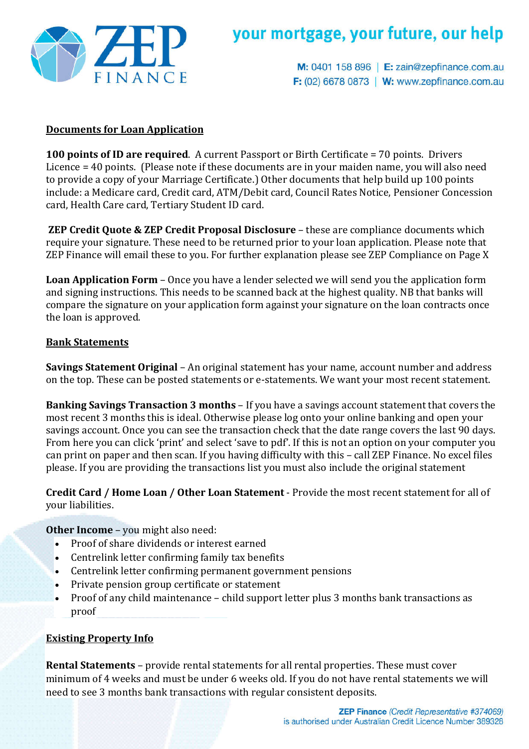

# your mortgage, your future, our help

M: 0401 158 896 | E: zain@zepfinance.com.au **F:** (02) 6678 0873 | **W:** www.zepfinance.com.au

### **Documents for Loan Application**

**100 points of ID are required**. A current Passport or Birth Certificate = 70 points. Drivers Licence = 40 points. (Please note if these documents are in your maiden name, you will also need to provide a copy of your Marriage Certificate.) Other documents that help build up 100 points include: a Medicare card, Credit card, ATM/Debit card, Council Rates Notice, Pensioner Concession card, Health Care card, Tertiary Student ID card.

**ZEP Credit Quote & ZEP Credit Proposal Disclosure** – these are compliance documents which require your signature. These need to be returned prior to your loan application. Please note that ZEP Finance will email these to you. For further explanation please see ZEP Compliance on Page X

**Loan Application Form** – Once you have a lender selected we will send you the application form and signing instructions. This needs to be scanned back at the highest quality. NB that banks will compare the signature on your application form against your signature on the loan contracts once the loan is approved.

#### **Bank Statements**

**Savings Statement Original** – An original statement has your name, account number and address on the top. These can be posted statements or e-statements. We want your most recent statement.

**Banking Savings Transaction 3 months** – If you have a savings account statement that covers the most recent 3 months this is ideal. Otherwise please log onto your online banking and open your savings account. Once you can see the transaction check that the date range covers the last 90 days. From here you can click 'print' and select 'save to pdf'. If this is not an option on your computer you can print on paper and then scan. If you having difficulty with this – call ZEP Finance. No excel files please. If you are providing the transactions list you must also include the original statement

**Credit Card / Home Loan / Other Loan Statement** - Provide the most recent statement for all of your liabilities.

#### **Other Income** – you might also need:

- Proof of share dividends or interest earned
- Centrelink letter confirming family tax benefits
- Centrelink letter confirming permanent government pensions
- Private pension group certificate or statement
- Proof of any child maintenance child support letter plus 3 months bank transactions as proof

### **Existing Property Info**

**Rental Statements** – provide rental statements for all rental properties. These must cover minimum of 4 weeks and must be under 6 weeks old. If you do not have rental statements we will need to see 3 months bank transactions with regular consistent deposits.